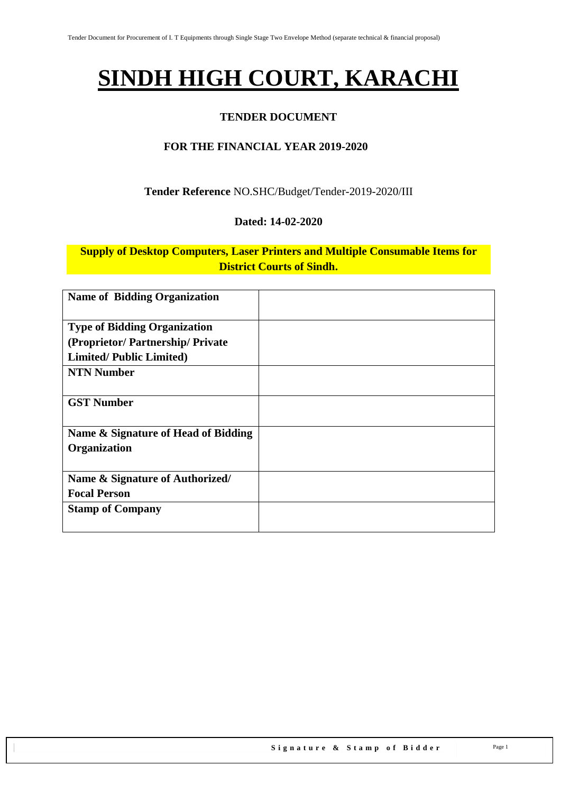# **SINDH HIGH COURT, KARACHI**

### **TENDER DOCUMENT**

### **FOR THE FINANCIAL YEAR 2019-2020**

### **Tender Reference** NO.SHC/Budget/Tender-2019-2020/III

#### **Dated: 14-02-2020**

### **Supply of Desktop Computers, Laser Printers and Multiple Consumable Items for District Courts of Sindh.**

| <b>Name of Bidding Organization</b> |  |
|-------------------------------------|--|
| <b>Type of Bidding Organization</b> |  |
| (Proprietor/Partnership/Private     |  |
| <b>Limited/Public Limited)</b>      |  |
| <b>NTN Number</b>                   |  |
| <b>GST Number</b>                   |  |
| Name & Signature of Head of Bidding |  |
| Organization                        |  |
| Name & Signature of Authorized/     |  |
| <b>Focal Person</b>                 |  |
| <b>Stamp of Company</b>             |  |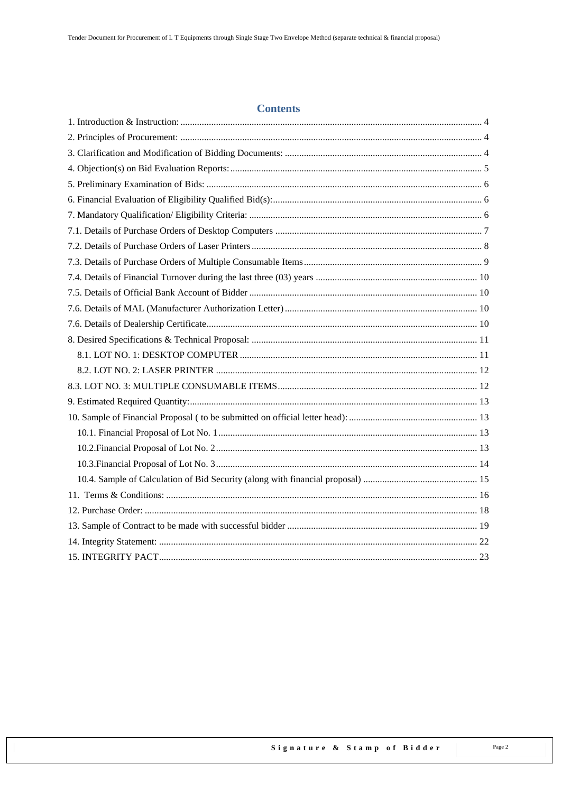#### **Contents**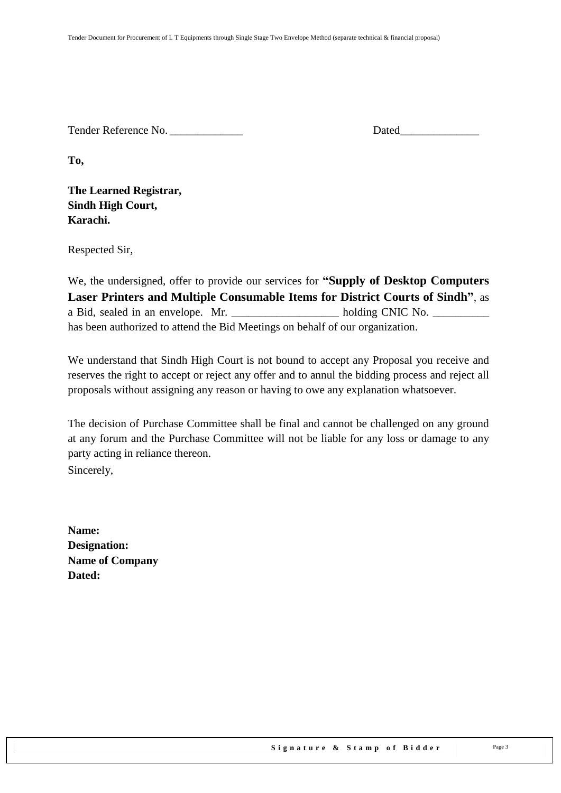Tender Reference No. 2008 and the United States of Dated

**To,** 

**The Learned Registrar, Sindh High Court, Karachi.**

Respected Sir,

We, the undersigned, offer to provide our services for **"Supply of Desktop Computers Laser Printers and Multiple Consumable Items for District Courts of Sindh"**, as a Bid, sealed in an envelope. Mr. holding CNIC No. has been authorized to attend the Bid Meetings on behalf of our organization.

We understand that Sindh High Court is not bound to accept any Proposal you receive and reserves the right to accept or reject any offer and to annul the bidding process and reject all proposals without assigning any reason or having to owe any explanation whatsoever.

The decision of Purchase Committee shall be final and cannot be challenged on any ground at any forum and the Purchase Committee will not be liable for any loss or damage to any party acting in reliance thereon.

Sincerely,

**Name: Designation: Name of Company Dated:**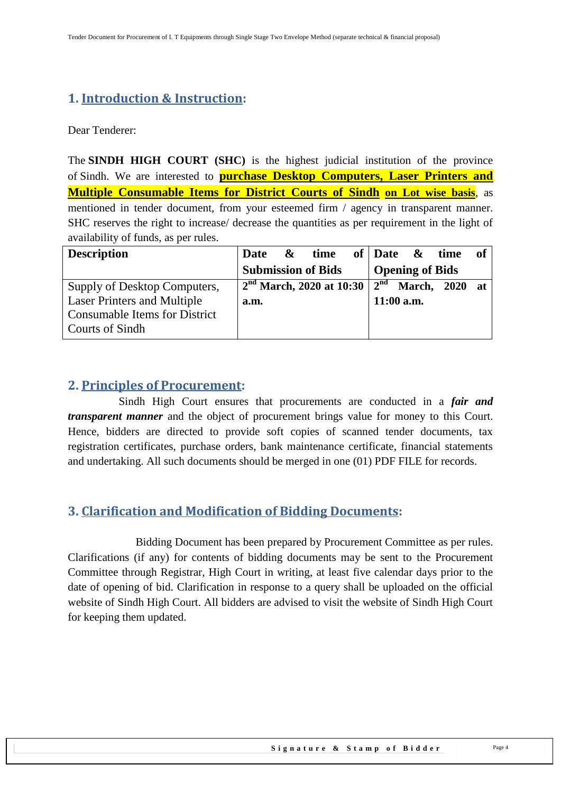# <span id="page-3-0"></span>**1. Introduction & Instruction:**

Dear Tenderer:

The **SINDH HIGH COURT (SHC)** is the highest judicial institution of the province of [Sindh.](https://en.wikipedia.org/wiki/Sindh) We are interested to **purchase Desktop Computers, Laser Printers and Multiple Consumable Items for District Courts of Sindh on Lot wise basis**, as mentioned in tender document, from your esteemed firm / agency in transparent manner. SHC reserves the right to increase/ decrease the quantities as per requirement in the light of availability of funds, as per rules.

| <b>Description</b>                   | Date | $\boldsymbol{\alpha}$ | time                       |                 | of $\Delta$ Date & time |         | of |
|--------------------------------------|------|-----------------------|----------------------------|-----------------|-------------------------|---------|----|
|                                      |      |                       | <b>Submission of Bids</b>  |                 | <b>Opening of Bids</b>  |         |    |
| Supply of Desktop Computers,         |      |                       | $2nd$ March, 2020 at 10:30 | $2^{\text{nd}}$ | March,                  | 2020 at |    |
| <b>Laser Printers and Multiple</b>   | a.m. |                       |                            |                 | $11:00$ a.m.            |         |    |
| <b>Consumable Items for District</b> |      |                       |                            |                 |                         |         |    |
| Courts of Sindh                      |      |                       |                            |                 |                         |         |    |

### <span id="page-3-1"></span>**2. Principles of Procurement:**

 Sindh High Court ensures that procurements are conducted in a *fair and transparent manner* and the object of procurement brings value for money to this Court. Hence, bidders are directed to provide soft copies of scanned tender documents, tax registration certificates, purchase orders, bank maintenance certificate, financial statements and undertaking. All such documents should be merged in one (01) PDF FILE for records.

# <span id="page-3-2"></span>**3. Clarification and Modification of Bidding Documents:**

Bidding Document has been prepared by Procurement Committee as per rules. Clarifications (if any) for contents of bidding documents may be sent to the Procurement Committee through Registrar, High Court in writing, at least five calendar days prior to the date of opening of bid. Clarification in response to a query shall be uploaded on the official website of Sindh High Court. All bidders are advised to visit the website of Sindh High Court for keeping them updated.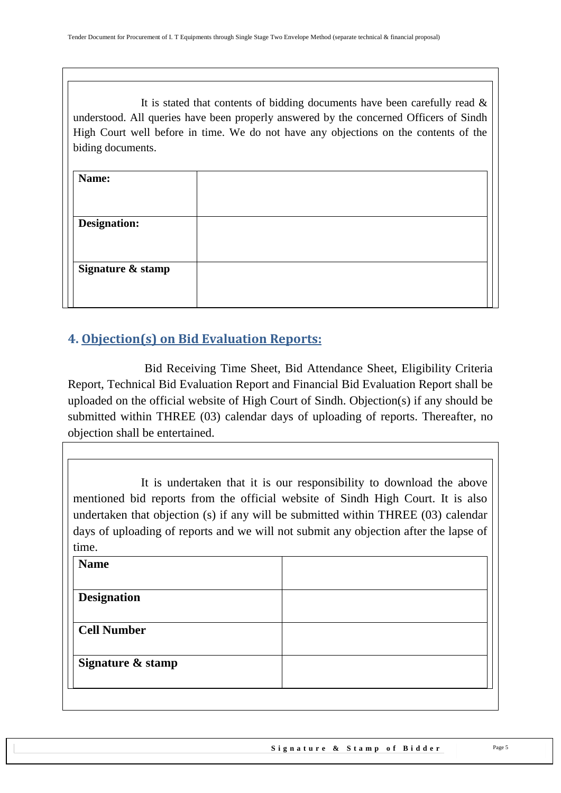It is stated that contents of bidding documents have been carefully read  $\&$ understood. All queries have been properly answered by the concerned Officers of Sindh High Court well before in time. We do not have any objections on the contents of the biding documents.

| Name:               |  |
|---------------------|--|
|                     |  |
| <b>Designation:</b> |  |
|                     |  |
| Signature & stamp   |  |
|                     |  |
|                     |  |

# <span id="page-4-0"></span>**4. Objection(s) on Bid Evaluation Reports:**

 Bid Receiving Time Sheet, Bid Attendance Sheet, Eligibility Criteria Report, Technical Bid Evaluation Report and Financial Bid Evaluation Report shall be uploaded on the official website of High Court of Sindh. Objection(s) if any should be submitted within THREE (03) calendar days of uploading of reports. Thereafter, no objection shall be entertained.

It is undertaken that it is our responsibility to download the above mentioned bid reports from the official website of Sindh High Court. It is also undertaken that objection (s) if any will be submitted within THREE (03) calendar days of uploading of reports and we will not submit any objection after the lapse of time.

| <b>Name</b>        |  |
|--------------------|--|
| <b>Designation</b> |  |
|                    |  |
| <b>Cell Number</b> |  |
| Signature & stamp  |  |
|                    |  |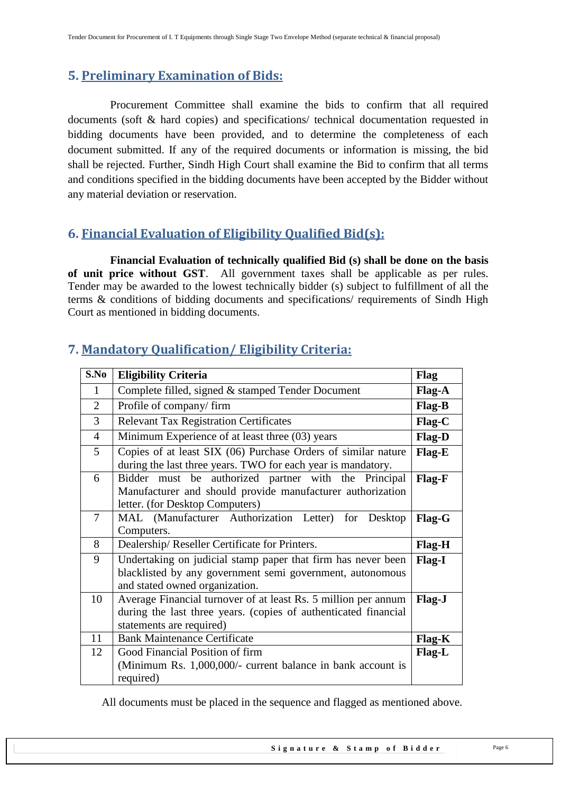# <span id="page-5-0"></span>**5. Preliminary Examination of Bids:**

 Procurement Committee shall examine the bids to confirm that all required documents (soft & hard copies) and specifications/ technical documentation requested in bidding documents have been provided, and to determine the completeness of each document submitted. If any of the required documents or information is missing, the bid shall be rejected. Further, Sindh High Court shall examine the Bid to confirm that all terms and conditions specified in the bidding documents have been accepted by the Bidder without any material deviation or reservation.

# <span id="page-5-1"></span>**6. Financial Evaluation of Eligibility Qualified Bid(s):**

 **Financial Evaluation of technically qualified Bid (s) shall be done on the basis of unit price without GST**. All government taxes shall be applicable as per rules. Tender may be awarded to the lowest technically bidder (s) subject to fulfillment of all the terms & conditions of bidding documents and specifications/ requirements of Sindh High Court as mentioned in bidding documents.

| S.No           | <b>Eligibility Criteria</b>                                                                                                                                   | Flag          |
|----------------|---------------------------------------------------------------------------------------------------------------------------------------------------------------|---------------|
| 1              | Complete filled, signed & stamped Tender Document                                                                                                             |               |
| $\overline{2}$ | Profile of company/firm                                                                                                                                       | Flag-B        |
| 3              | <b>Relevant Tax Registration Certificates</b>                                                                                                                 | Flag-C        |
| $\overline{4}$ | Minimum Experience of at least three (03) years                                                                                                               | Flag-D        |
| 5              | Copies of at least SIX (06) Purchase Orders of similar nature<br>during the last three years. TWO for each year is mandatory.                                 | Flag-E        |
| 6              | Bidder must be authorized partner with the Principal<br>Manufacturer and should provide manufacturer authorization<br>letter. (for Desktop Computers)         | Flag-F        |
| 7              | MAL (Manufacturer Authorization Letter) for Desktop<br>Computers.                                                                                             | Flag-G        |
| 8              | Dealership/Reseller Certificate for Printers.                                                                                                                 | Flag-H        |
| 9              | Undertaking on judicial stamp paper that firm has never been<br>blacklisted by any government semi government, autonomous<br>and stated owned organization.   | <b>Flag-I</b> |
| 10             | Average Financial turnover of at least Rs. 5 million per annum<br>during the last three years. (copies of authenticated financial<br>statements are required) | Flag-J        |
| 11             | <b>Bank Maintenance Certificate</b>                                                                                                                           | Flag-K        |
| 12             | Good Financial Position of firm<br>(Minimum Rs. 1,000,000/- current balance in bank account is<br>required)                                                   | Flag-L        |

# <span id="page-5-2"></span>**7. Mandatory Qualification/ Eligibility Criteria:**

All documents must be placed in the sequence and flagged as mentioned above.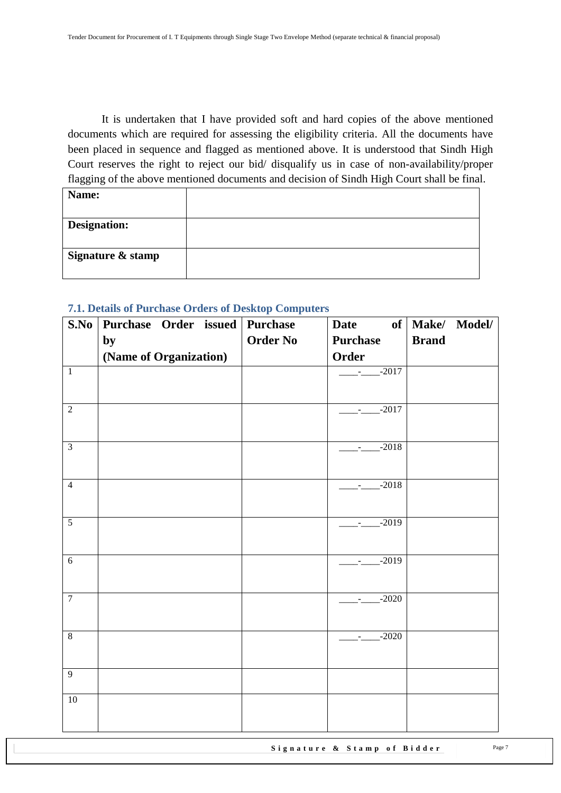It is undertaken that I have provided soft and hard copies of the above mentioned documents which are required for assessing the eligibility criteria. All the documents have been placed in sequence and flagged as mentioned above. It is understood that Sindh High Court reserves the right to reject our bid/ disqualify us in case of non-availability/proper flagging of the above mentioned documents and decision of Sindh High Court shall be final.

| Name:               |  |
|---------------------|--|
|                     |  |
| <b>Designation:</b> |  |
| Signature & stamp   |  |

#### <span id="page-6-0"></span>**7.1. Details of Purchase Orders of Desktop Computers**

| S.No           | Purchase Order issued Purchase |                 | <b>Date</b>                      | of   Make/ Model/ |
|----------------|--------------------------------|-----------------|----------------------------------|-------------------|
|                | by                             | <b>Order No</b> | <b>Purchase</b>                  | <b>Brand</b>      |
|                | (Name of Organization)         |                 | Order                            |                   |
| $\overline{1}$ |                                |                 | $-$ - $-$ -2017                  |                   |
|                |                                |                 |                                  |                   |
| $\overline{2}$ |                                |                 | $-2017$                          |                   |
|                |                                |                 |                                  |                   |
| $\overline{3}$ |                                |                 | $-2018$                          |                   |
|                |                                |                 |                                  |                   |
| $\overline{4}$ |                                |                 | $-2018$                          |                   |
|                |                                |                 |                                  |                   |
| $\overline{5}$ |                                |                 | $-2019$                          |                   |
|                |                                |                 |                                  |                   |
| $6\,$          |                                |                 | $-2019$                          |                   |
|                |                                |                 |                                  |                   |
| $\overline{7}$ |                                |                 | $-2020$                          |                   |
|                |                                |                 |                                  |                   |
| $\overline{8}$ |                                |                 | $\frac{1}{2}$ - $\frac{2020}{2}$ |                   |
|                |                                |                 |                                  |                   |
| $\overline{9}$ |                                |                 |                                  |                   |
| 10             |                                |                 |                                  |                   |
|                |                                |                 |                                  |                   |
|                |                                |                 |                                  |                   |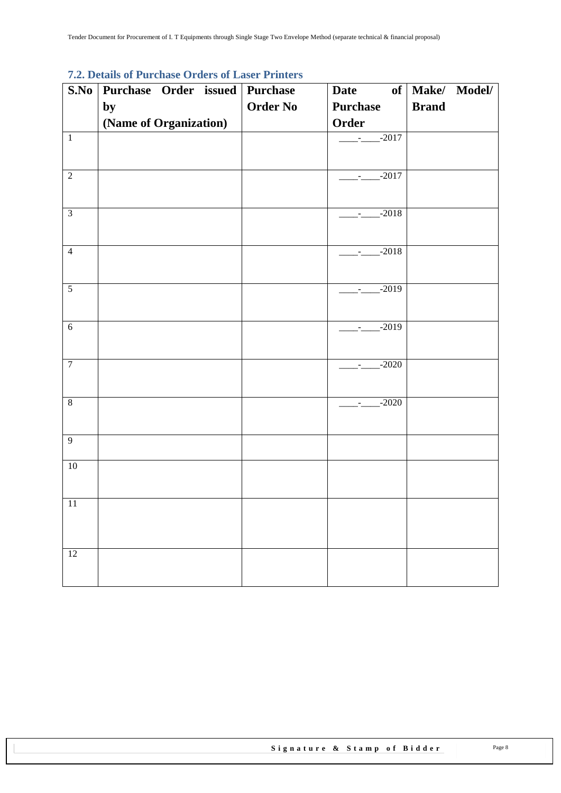# <span id="page-7-0"></span>**7.2. Details of Purchase Orders of Laser Printers**

| S.No            | Purchase Order issued Purchase |                 | <b>Date</b>           | of   Make/ Model/ |
|-----------------|--------------------------------|-----------------|-----------------------|-------------------|
|                 | by                             | <b>Order No</b> | <b>Purchase</b>       | <b>Brand</b>      |
|                 | (Name of Organization)         |                 | Order                 |                   |
| $\overline{1}$  |                                |                 | $\frac{1}{2}$ -2017   |                   |
|                 |                                |                 |                       |                   |
| $\overline{2}$  |                                |                 | $-$ - $-$ - $-$ -2017 |                   |
|                 |                                |                 |                       |                   |
| $\overline{3}$  |                                |                 | $-2018$               |                   |
|                 |                                |                 |                       |                   |
| $\overline{4}$  |                                |                 | $-2018$               |                   |
|                 |                                |                 |                       |                   |
| $\overline{5}$  |                                |                 | $-2019$               |                   |
|                 |                                |                 |                       |                   |
| $\sqrt{6}$      |                                |                 | $-2019$               |                   |
|                 |                                |                 |                       |                   |
| $\overline{7}$  |                                |                 | $-2020$               |                   |
|                 |                                |                 |                       |                   |
| $\,8\,$         |                                |                 | $-2020$               |                   |
|                 |                                |                 |                       |                   |
| $\overline{9}$  |                                |                 |                       |                   |
| $10\,$          |                                |                 |                       |                   |
|                 |                                |                 |                       |                   |
| $\overline{11}$ |                                |                 |                       |                   |
|                 |                                |                 |                       |                   |
|                 |                                |                 |                       |                   |
| 12              |                                |                 |                       |                   |
|                 |                                |                 |                       |                   |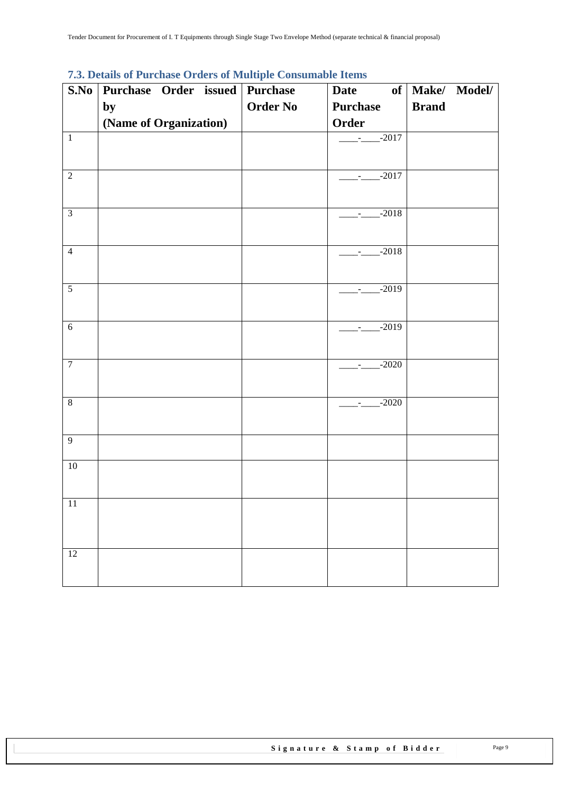| S.No            | <i><b>1.0. Details of Turenase Oracis of Multiple Consumable Tiems</b></i><br>Purchase Order issued Purchase |                 | Date                  | of   Make/ Model/ |
|-----------------|--------------------------------------------------------------------------------------------------------------|-----------------|-----------------------|-------------------|
|                 | by                                                                                                           | <b>Order No</b> | <b>Purchase</b>       | <b>Brand</b>      |
|                 | (Name of Organization)                                                                                       |                 | Order                 |                   |
| $\overline{1}$  |                                                                                                              |                 | $-$ - $-$ - $-$ -2017 |                   |
| $\overline{2}$  |                                                                                                              |                 | $\frac{1}{2}$ -2017   |                   |
| $\overline{3}$  |                                                                                                              |                 | $-$ - $-$ -2018       |                   |
| $\overline{4}$  |                                                                                                              |                 | $-2018$               |                   |
| $\overline{5}$  |                                                                                                              |                 | $-$ - $-$ -2019       |                   |
| $\sqrt{6}$      |                                                                                                              |                 | $-2019$               |                   |
| $\overline{7}$  |                                                                                                              |                 | $-2020$               |                   |
| $\overline{8}$  |                                                                                                              |                 | $-2020$               |                   |
| $\overline{9}$  |                                                                                                              |                 |                       |                   |
| $10\,$          |                                                                                                              |                 |                       |                   |
| $11\,$          |                                                                                                              |                 |                       |                   |
| $\overline{12}$ |                                                                                                              |                 |                       |                   |

### <span id="page-8-0"></span>**7.3. Details of Purchase Orders of Multiple Consumable Items**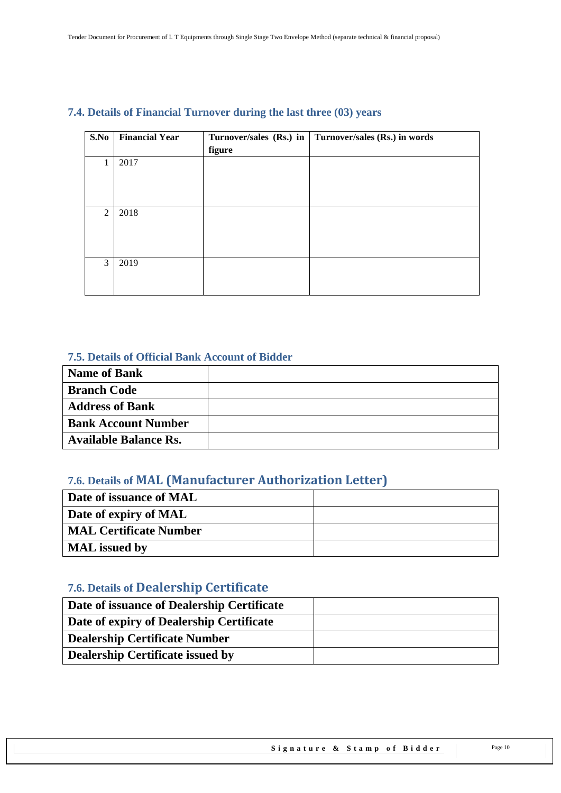| S.No | <b>Financial Year</b> |        | Turnover/sales (Rs.) in   Turnover/sales (Rs.) in words |
|------|-----------------------|--------|---------------------------------------------------------|
|      |                       | figure |                                                         |
| 1    | 2017                  |        |                                                         |
|      |                       |        |                                                         |
|      |                       |        |                                                         |
|      |                       |        |                                                         |
|      |                       |        |                                                         |
| 2    | 2018                  |        |                                                         |
|      |                       |        |                                                         |
|      |                       |        |                                                         |
|      |                       |        |                                                         |
|      |                       |        |                                                         |
|      |                       |        |                                                         |
|      |                       |        |                                                         |
|      |                       |        |                                                         |
| 3    | 2019                  |        |                                                         |

### <span id="page-9-0"></span>**7.4. Details of Financial Turnover during the last three (03) years**

#### <span id="page-9-1"></span>**7.5. Details of Official Bank Account of Bidder**

| <b>Name of Bank</b>          |  |
|------------------------------|--|
| <b>Branch Code</b>           |  |
| <b>Address of Bank</b>       |  |
| <b>Bank Account Number</b>   |  |
| <b>Available Balance Rs.</b> |  |

### <span id="page-9-2"></span>**7.6. Details of MAL (Manufacturer Authorization Letter)**

| Date of issuance of MAL       |  |
|-------------------------------|--|
| Date of expiry of MAL         |  |
| <b>MAL Certificate Number</b> |  |
| <b>MAL</b> issued by          |  |

# <span id="page-9-3"></span>**7.6. Details of Dealership Certificate**

| Date of issuance of Dealership Certificate |  |
|--------------------------------------------|--|
| Date of expiry of Dealership Certificate   |  |
| <b>Dealership Certificate Number</b>       |  |
| <b>Dealership Certificate issued by</b>    |  |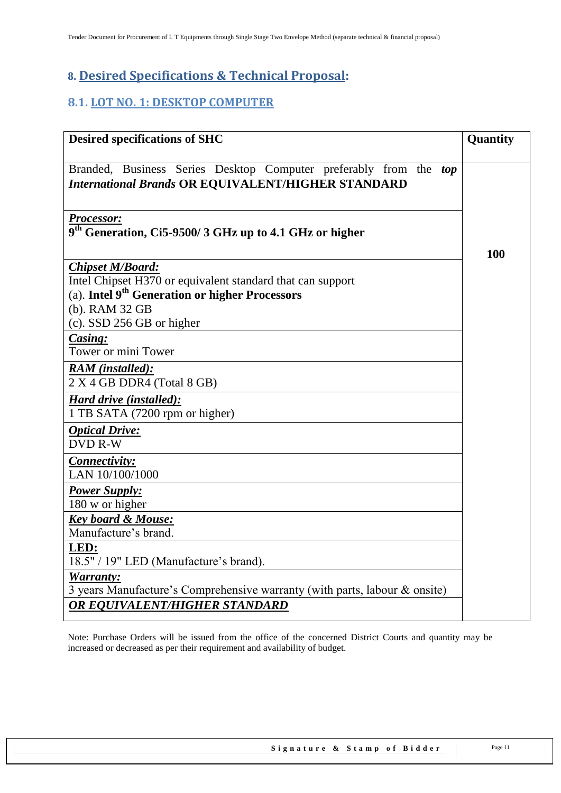# <span id="page-10-0"></span>**8. Desired Specifications & Technical Proposal:**

# <span id="page-10-1"></span>**8.1. LOT NO. 1: DESKTOP COMPUTER**

| <b>Desired specifications of SHC</b>                                                                                                                | Quantity |
|-----------------------------------------------------------------------------------------------------------------------------------------------------|----------|
| Branded, Business Series Desktop Computer preferably from the top<br><b>International Brands OR EQUIVALENT/HIGHER STANDARD</b>                      |          |
| <b>Processor:</b><br>9 <sup>th</sup> Generation, Ci5-9500/3 GHz up to 4.1 GHz or higher                                                             |          |
|                                                                                                                                                     | 100      |
| <b>Chipset M/Board:</b><br>Intel Chipset H370 or equivalent standard that can support<br>(a). Intel 9 <sup>th</sup> Generation or higher Processors |          |
| (b). RAM 32 GB                                                                                                                                      |          |
| $(c)$ . SSD 256 GB or higher<br>Casing:                                                                                                             |          |
| Tower or mini Tower                                                                                                                                 |          |
| <b>RAM</b> (installed):<br>2 X 4 GB DDR4 (Total 8 GB)                                                                                               |          |
| Hard drive (installed):<br>1 TB SATA (7200 rpm or higher)                                                                                           |          |
| <b>Optical Drive:</b><br><b>DVD R-W</b>                                                                                                             |          |
| Connectivity:<br>LAN 10/100/1000                                                                                                                    |          |
| <b>Power Supply:</b><br>180 w or higher                                                                                                             |          |
| <b>Key board &amp; Mouse:</b><br>Manufacture's brand.                                                                                               |          |
| LED:<br>18.5" / 19" LED (Manufacture's brand).                                                                                                      |          |
| Warranty:<br>3 years Manufacture's Comprehensive warranty (with parts, labour & onsite)<br>OR EQUIVALENT/HIGHER STANDARD                            |          |

Note: Purchase Orders will be issued from the office of the concerned District Courts and quantity may be increased or decreased as per their requirement and availability of budget.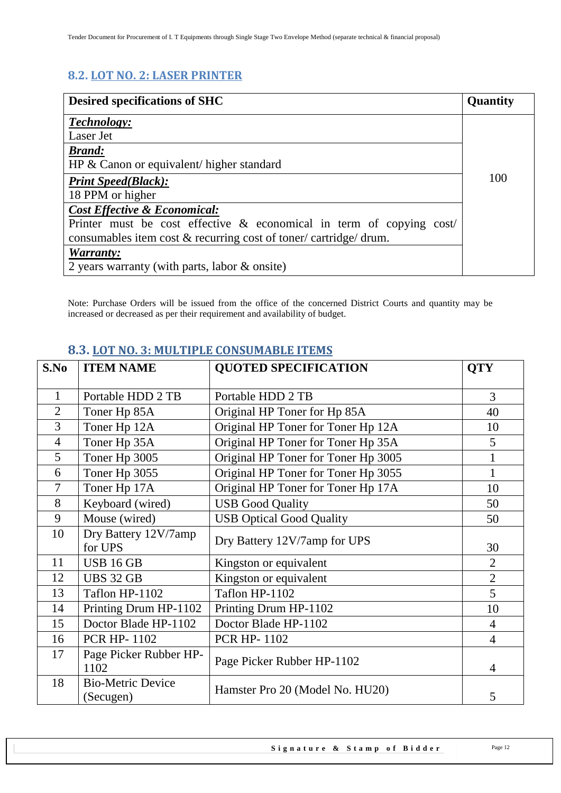# <span id="page-11-0"></span>**8.2. LOT NO. 2: LASER PRINTER**

| <b>Desired specifications of SHC</b>                                    | <b>Quantity</b> |
|-------------------------------------------------------------------------|-----------------|
| Technology:                                                             |                 |
| Laser Jet                                                               |                 |
| <b>Brand:</b>                                                           |                 |
| HP $\&$ Canon or equivalent/ higher standard                            |                 |
| <b>Print Speed(Black):</b>                                              | 100             |
| 18 PPM or higher                                                        |                 |
| <b>Cost Effective &amp; Economical:</b>                                 |                 |
| Printer must be cost effective $\&$ economical in term of copying cost/ |                 |
| consumables item cost & recurring cost of toner/cartridge/drum.         |                 |
| Warranty:                                                               |                 |
| 2 years warranty (with parts, labor & onsite)                           |                 |

<span id="page-11-1"></span>Note: Purchase Orders will be issued from the office of the concerned District Courts and quantity may be increased or decreased as per their requirement and availability of budget.

| S.No           | <b>ITEM NAME</b>                      | <b>QUOTED SPECIFICATION</b>         | <b>QTY</b>     |
|----------------|---------------------------------------|-------------------------------------|----------------|
| 1              | Portable HDD 2 TB                     | Portable HDD 2 TB                   | 3              |
| $\overline{2}$ | Toner Hp 85A                          | Original HP Toner for Hp 85A        | 40             |
| 3              | Toner Hp 12A                          | Original HP Toner for Toner Hp 12A  | 10             |
| $\overline{4}$ | Toner Hp 35A                          | Original HP Toner for Toner Hp 35A  | 5              |
| 5              | Toner Hp 3005                         | Original HP Toner for Toner Hp 3005 |                |
| 6              | Toner Hp 3055                         | Original HP Toner for Toner Hp 3055 | 1              |
| 7              | Toner Hp 17A                          | Original HP Toner for Toner Hp 17A  | 10             |
| 8              | Keyboard (wired)                      | <b>USB Good Quality</b>             | 50             |
| 9              | Mouse (wired)                         | <b>USB Optical Good Quality</b>     | 50             |
| 10             | Dry Battery 12V/7amp<br>for UPS       | Dry Battery 12V/7amp for UPS        | 30             |
| 11             | <b>USB 16 GB</b>                      | Kingston or equivalent              | $\overline{2}$ |
| 12             | <b>UBS 32 GB</b>                      | Kingston or equivalent              | $\overline{2}$ |
| 13             | Taflon HP-1102                        | Taflon HP-1102                      | 5              |
| 14             | Printing Drum HP-1102                 | Printing Drum HP-1102               | 10             |
| 15             | Doctor Blade HP-1102                  | Doctor Blade HP-1102                | $\overline{4}$ |
| 16             | <b>PCR HP-1102</b>                    | <b>PCR HP-1102</b>                  | $\overline{4}$ |
| 17             | Page Picker Rubber HP-<br>1102        | Page Picker Rubber HP-1102          | 4              |
| 18             | <b>Bio-Metric Device</b><br>(Secugen) | Hamster Pro 20 (Model No. HU20)     | 5              |

### **8.3. LOT NO. 3: MULTIPLE CONSUMABLE ITEMS**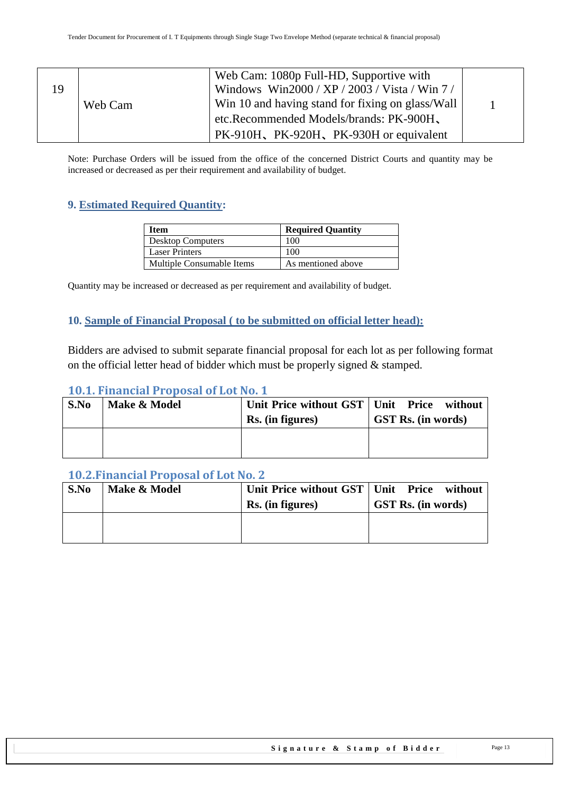| 19 | Web Cam | Web Cam: 1080p Full-HD, Supportive with<br>Windows Win2000 / XP / 2003 / Vista / Win 7 /<br>Win 10 and having stand for fixing on glass/Wall<br>etc.Recommended Models/brands: PK-900H, |  |
|----|---------|-----------------------------------------------------------------------------------------------------------------------------------------------------------------------------------------|--|
|    |         | PK-910H, PK-920H, PK-930H or equivalent                                                                                                                                                 |  |

<span id="page-12-0"></span>Note: Purchase Orders will be issued from the office of the concerned District Courts and quantity may be increased or decreased as per their requirement and availability of budget.

### **9. Estimated Required Quantity:**

| Item                      | <b>Required Quantity</b> |
|---------------------------|--------------------------|
| <b>Desktop Computers</b>  | 100                      |
| <b>Laser Printers</b>     | 100                      |
| Multiple Consumable Items | As mentioned above       |

<span id="page-12-1"></span>Quantity may be increased or decreased as per requirement and availability of budget.

#### **10. Sample of Financial Proposal ( to be submitted on official letter head):**

Bidders are advised to submit separate financial proposal for each lot as per following format on the official letter head of bidder which must be properly signed & stamped.

#### <span id="page-12-2"></span>**10.1. Financial Proposal of Lot No. 1**

| S.No | Make & Model | Unit Price without GST   Unit Price without<br>Rs. (in figures) | <b>GST Rs.</b> (in words) |
|------|--------------|-----------------------------------------------------------------|---------------------------|
|      |              |                                                                 |                           |

#### <span id="page-12-3"></span>**10.2.Financial Proposal of Lot No. 2**

<span id="page-12-4"></span>

| S.No | Make & Model | Unit Price without GST   Unit Price without<br>Rs. (in figures) | <b>GST Rs.</b> (in words) |
|------|--------------|-----------------------------------------------------------------|---------------------------|
|      |              |                                                                 |                           |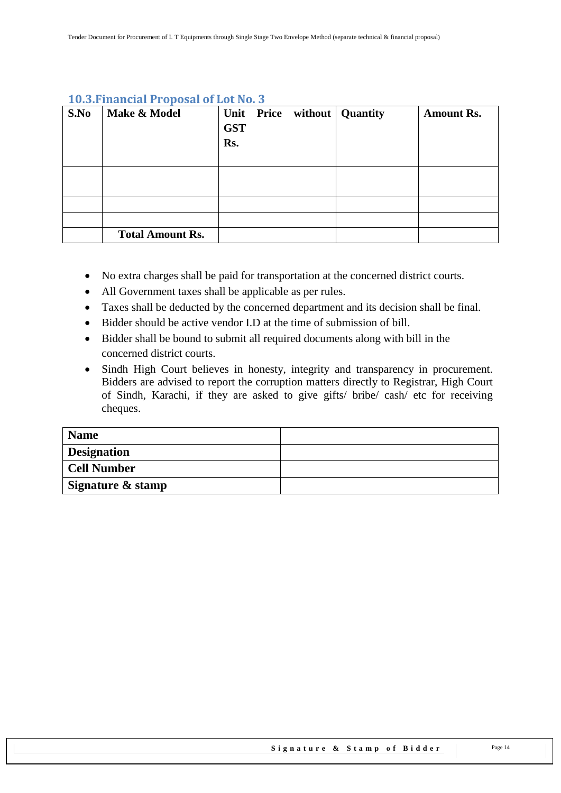| S.No | Make & Model            | <b>GST</b><br>Rs. |  | Unit Price without   Quantity | <b>Amount Rs.</b> |
|------|-------------------------|-------------------|--|-------------------------------|-------------------|
|      |                         |                   |  |                               |                   |
|      |                         |                   |  |                               |                   |
|      |                         |                   |  |                               |                   |
|      | <b>Total Amount Rs.</b> |                   |  |                               |                   |

#### **10.3.Financial Proposal of Lot No. 3**

- No extra charges shall be paid for transportation at the concerned district courts.
- All Government taxes shall be applicable as per rules.
- Taxes shall be deducted by the concerned department and its decision shall be final.
- Bidder should be active vendor I.D at the time of submission of bill.
- Bidder shall be bound to submit all required documents along with bill in the concerned district courts.
- Sindh High Court believes in honesty, integrity and transparency in procurement. Bidders are advised to report the corruption matters directly to Registrar, High Court of Sindh, Karachi, if they are asked to give gifts/ bribe/ cash/ etc for receiving cheques.

<span id="page-13-0"></span>

| <b>Name</b>        |  |
|--------------------|--|
| <b>Designation</b> |  |
| <b>Cell Number</b> |  |
| Signature & stamp  |  |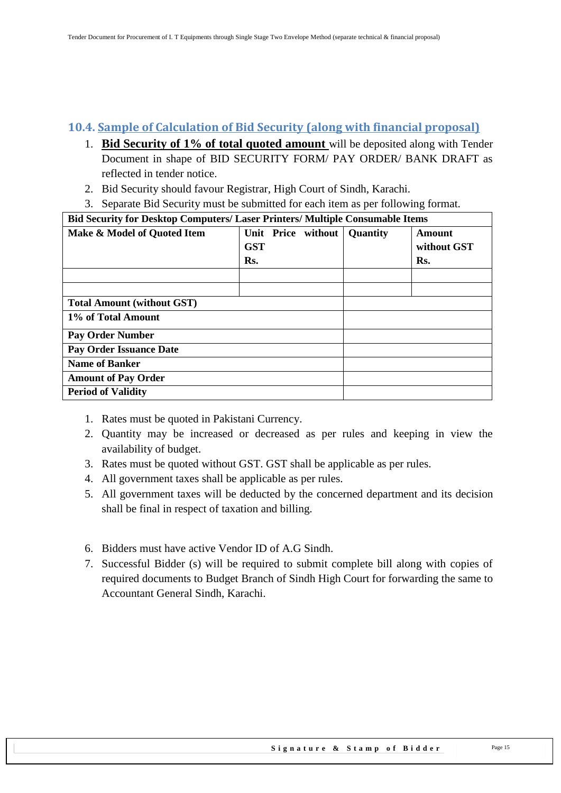## **10.4. Sample of Calculation of Bid Security (along with financial proposal)**

- 1. **Bid Security of 1% of total quoted amount** will be deposited along with Tender Document in shape of BID SECURITY FORM/ PAY ORDER/ BANK DRAFT as reflected in tender notice.
- 2. Bid Security should favour Registrar, High Court of Sindh, Karachi.
- 3. Separate Bid Security must be submitted for each item as per following format.

| <b>Bid Security for Desktop Computers/ Laser Printers/ Multiple Consumable Items</b> |            |  |                    |                 |             |
|--------------------------------------------------------------------------------------|------------|--|--------------------|-----------------|-------------|
| Make & Model of Quoted Item                                                          |            |  | Unit Price without | <b>Quantity</b> | Amount      |
|                                                                                      | <b>GST</b> |  |                    |                 | without GST |
|                                                                                      | Rs.        |  |                    |                 | Rs.         |
|                                                                                      |            |  |                    |                 |             |
|                                                                                      |            |  |                    |                 |             |
| <b>Total Amount (without GST)</b>                                                    |            |  |                    |                 |             |
| 1% of Total Amount                                                                   |            |  |                    |                 |             |
| <b>Pay Order Number</b>                                                              |            |  |                    |                 |             |
| <b>Pay Order Issuance Date</b>                                                       |            |  |                    |                 |             |
| <b>Name of Banker</b>                                                                |            |  |                    |                 |             |
| <b>Amount of Pay Order</b>                                                           |            |  |                    |                 |             |
| <b>Period of Validity</b>                                                            |            |  |                    |                 |             |

- 1. Rates must be quoted in Pakistani Currency.
- 2. Quantity may be increased or decreased as per rules and keeping in view the availability of budget.
- 3. Rates must be quoted without GST. GST shall be applicable as per rules.
- 4. All government taxes shall be applicable as per rules.
- 5. All government taxes will be deducted by the concerned department and its decision shall be final in respect of taxation and billing.
- 6. Bidders must have active Vendor ID of A.G Sindh.
- 7. Successful Bidder (s) will be required to submit complete bill along with copies of required documents to Budget Branch of Sindh High Court for forwarding the same to Accountant General Sindh, Karachi.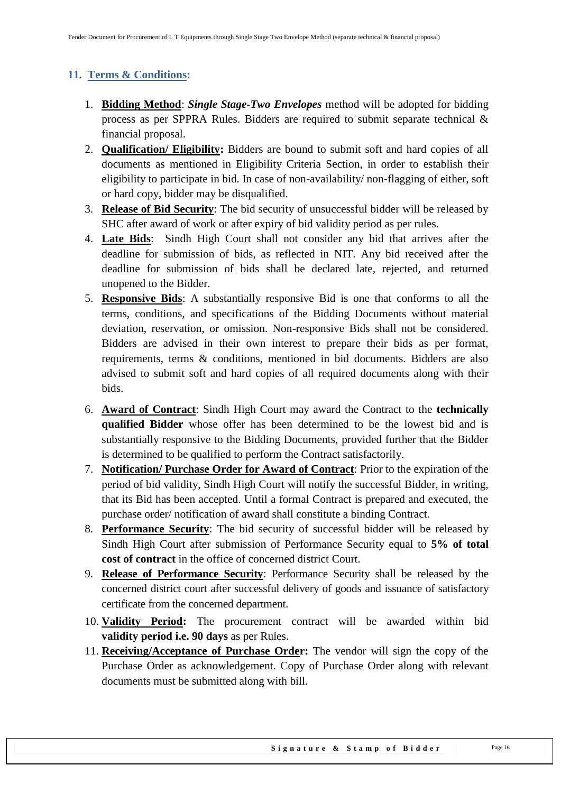## <span id="page-15-0"></span>**11. Terms & Conditions:**

- 1. **Bidding Method**: *Single Stage-Two Envelopes* method will be adopted for bidding process as per SPPRA Rules. Bidders are required to submit separate technical & financial proposal.
- 2. **Qualification/ Eligibility:** Bidders are bound to submit soft and hard copies of all documents as mentioned in Eligibility Criteria Section, in order to establish their eligibility to participate in bid. In case of non-availability/ non-flagging of either, soft or hard copy, bidder may be disqualified.
- 3. **Release of Bid Security**: The bid security of unsuccessful bidder will be released by SHC after award of work or after expiry of bid validity period as per rules.
- 4. **Late Bids**: Sindh High Court shall not consider any bid that arrives after the deadline for submission of bids, as reflected in NIT. Any bid received after the deadline for submission of bids shall be declared late, rejected, and returned unopened to the Bidder.
- 5. **Responsive Bids**: A substantially responsive Bid is one that conforms to all the terms, conditions, and specifications of the Bidding Documents without material deviation, reservation, or omission. Non-responsive Bids shall not be considered. Bidders are advised in their own interest to prepare their bids as per format, requirements, terms & conditions, mentioned in bid documents. Bidders are also advised to submit soft and hard copies of all required documents along with their bids.
- 6. **Award of Contract**: Sindh High Court may award the Contract to the **technically qualified Bidder** whose offer has been determined to be the lowest bid and is substantially responsive to the Bidding Documents, provided further that the Bidder is determined to be qualified to perform the Contract satisfactorily.
- 7. **Notification/ Purchase Order for Award of Contract**: Prior to the expiration of the period of bid validity, Sindh High Court will notify the successful Bidder, in writing, that its Bid has been accepted. Until a formal Contract is prepared and executed, the purchase order/ notification of award shall constitute a binding Contract.
- 8. **Performance Security**: The bid security of successful bidder will be released by Sindh High Court after submission of Performance Security equal to **5% of total cost of contract** in the office of concerned district Court.
- 9. **Release of Performance Security**: Performance Security shall be released by the concerned district court after successful delivery of goods and issuance of satisfactory certificate from the concerned department.
- 10. **Validity Period:** The procurement contract will be awarded within bid **validity period i.e. 90 days** as per Rules.
- 11. **Receiving/Acceptance of Purchase Order:** The vendor will sign the copy of the Purchase Order as acknowledgement. Copy of Purchase Order along with relevant documents must be submitted along with bill.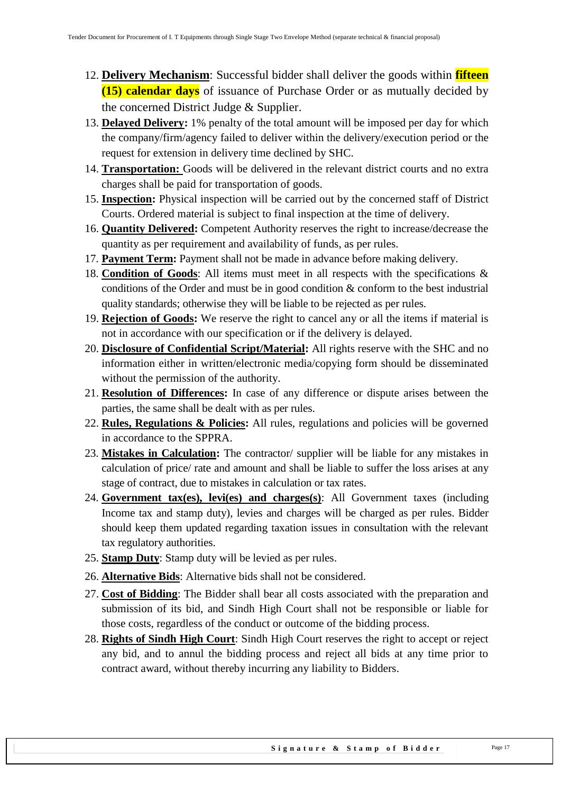- 12. **Delivery Mechanism**: Successful bidder shall deliver the goods within **fifteen (15) calendar days** of issuance of Purchase Order or as mutually decided by the concerned District Judge & Supplier.
- 13. **Delayed Delivery:** 1% penalty of the total amount will be imposed per day for which the company/firm/agency failed to deliver within the delivery/execution period or the request for extension in delivery time declined by SHC.
- 14. **Transportation:** Goods will be delivered in the relevant district courts and no extra charges shall be paid for transportation of goods.
- 15. **Inspection:** Physical inspection will be carried out by the concerned staff of District Courts. Ordered material is subject to final inspection at the time of delivery.
- 16. **Quantity Delivered:** Competent Authority reserves the right to increase/decrease the quantity as per requirement and availability of funds, as per rules.
- 17. **Payment Term:** Payment shall not be made in advance before making delivery.
- 18. **Condition of Goods**: All items must meet in all respects with the specifications & conditions of the Order and must be in good condition & conform to the best industrial quality standards; otherwise they will be liable to be rejected as per rules.
- 19. **Rejection of Goods:** We reserve the right to cancel any or all the items if material is not in accordance with our specification or if the delivery is delayed.
- 20. **Disclosure of Confidential Script/Material:** All rights reserve with the SHC and no information either in written/electronic media/copying form should be disseminated without the permission of the authority.
- 21. **Resolution of Differences:** In case of any difference or dispute arises between the parties, the same shall be dealt with as per rules.
- 22. **Rules, Regulations & Policies:** All rules, regulations and policies will be governed in accordance to the SPPRA.
- 23. **Mistakes in Calculation:** The contractor/ supplier will be liable for any mistakes in calculation of price/ rate and amount and shall be liable to suffer the loss arises at any stage of contract, due to mistakes in calculation or tax rates.
- 24. **Government tax(es), levi(es) and charges(s)**: All Government taxes (including Income tax and stamp duty), levies and charges will be charged as per rules. Bidder should keep them updated regarding taxation issues in consultation with the relevant tax regulatory authorities.
- 25. **Stamp Duty**: Stamp duty will be levied as per rules.
- 26. **Alternative Bids**: Alternative bids shall not be considered.
- 27. **Cost of Bidding**: The Bidder shall bear all costs associated with the preparation and submission of its bid, and Sindh High Court shall not be responsible or liable for those costs, regardless of the conduct or outcome of the bidding process.
- 28. **Rights of Sindh High Court**: Sindh High Court reserves the right to accept or reject any bid, and to annul the bidding process and reject all bids at any time prior to contract award, without thereby incurring any liability to Bidders.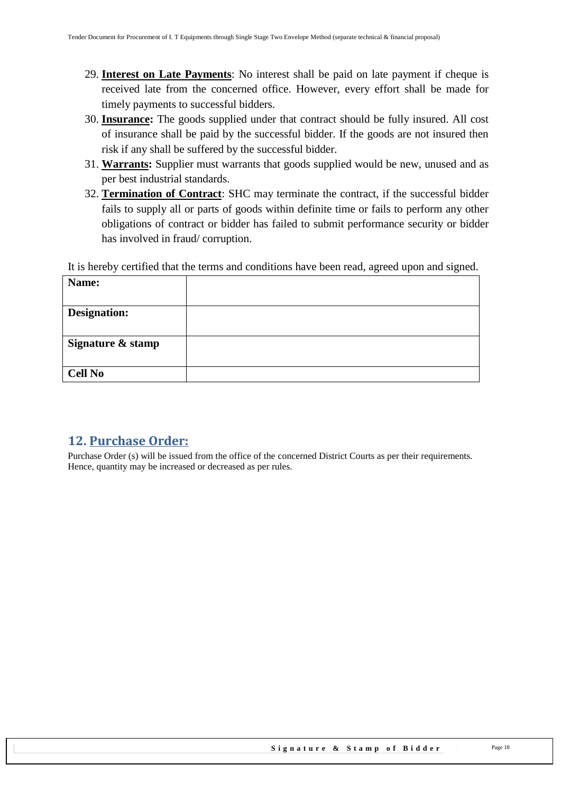- 29. **Interest on Late Payments**: No interest shall be paid on late payment if cheque is received late from the concerned office. However, every effort shall be made for timely payments to successful bidders.
- 30. **Insurance:** The goods supplied under that contract should be fully insured. All cost of insurance shall be paid by the successful bidder. If the goods are not insured then risk if any shall be suffered by the successful bidder.
- 31. **Warrants:** Supplier must warrants that goods supplied would be new, unused and as per best industrial standards.
- 32. **Termination of Contract**: SHC may terminate the contract, if the successful bidder fails to supply all or parts of goods within definite time or fails to perform any other obligations of contract or bidder has failed to submit performance security or bidder has involved in fraud/ corruption.

It is hereby certified that the terms and conditions have been read, agreed upon and signed.

| Name:               |  |
|---------------------|--|
| <b>Designation:</b> |  |
| Signature & stamp   |  |
|                     |  |
| <b>Cell No</b>      |  |

### <span id="page-17-0"></span>**12. Purchase Order:**

Purchase Order (s) will be issued from the office of the concerned District Courts as per their requirements. Hence, quantity may be increased or decreased as per rules.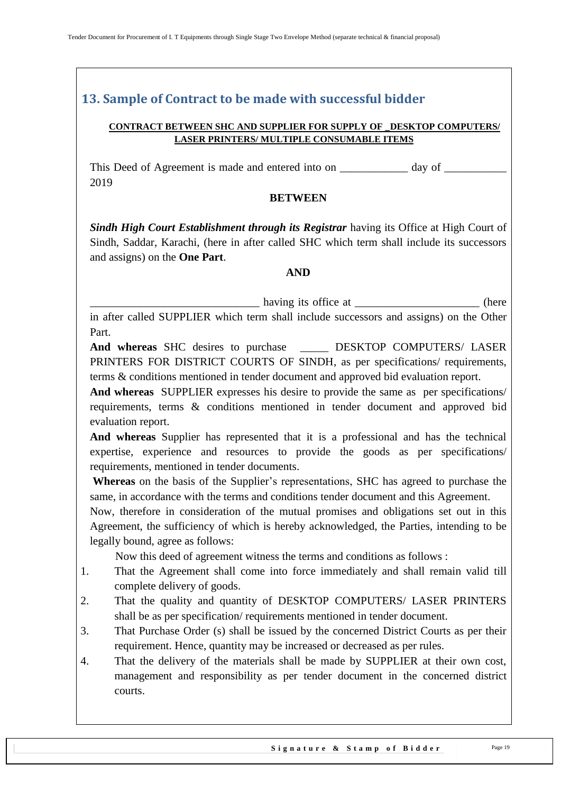# <span id="page-18-0"></span>**13. Sample of Contract to be made with successful bidder**

#### **CONTRACT BETWEEN SHC AND SUPPLIER FOR SUPPLY OF \_DESKTOP COMPUTERS/ LASER PRINTERS/ MULTIPLE CONSUMABLE ITEMS**

This Deed of Agreement is made and entered into on \_\_\_\_\_\_\_\_\_\_\_\_\_ day of \_\_\_\_\_\_\_\_\_\_ 2019

#### **BETWEEN**

*Sindh High Court Establishment through its Registrar having its Office at High Court of* Sindh, Saddar, Karachi, (here in after called SHC which term shall include its successors and assigns) on the **One Part**.

#### **AND**

\_\_\_\_\_\_\_\_\_\_\_\_\_\_\_\_\_\_\_\_\_\_\_\_\_\_\_\_\_\_ having its office at \_\_\_\_\_\_\_\_\_\_\_\_\_\_\_\_\_\_\_\_\_\_ (here

in after called SUPPLIER which term shall include successors and assigns) on the Other Part.

And whereas SHC desires to purchase **DESKTOP COMPUTERS/ LASER** PRINTERS FOR DISTRICT COURTS OF SINDH, as per specifications/ requirements, terms & conditions mentioned in tender document and approved bid evaluation report.

**And whereas** SUPPLIER expresses his desire to provide the same as per specifications/ requirements, terms & conditions mentioned in tender document and approved bid evaluation report.

**And whereas** Supplier has represented that it is a professional and has the technical expertise, experience and resources to provide the goods as per specifications/ requirements, mentioned in tender documents.

**Whereas** on the basis of the Supplier"s representations, SHC has agreed to purchase the same, in accordance with the terms and conditions tender document and this Agreement.

Now, therefore in consideration of the mutual promises and obligations set out in this Agreement, the sufficiency of which is hereby acknowledged, the Parties, intending to be legally bound, agree as follows:

Now this deed of agreement witness the terms and conditions as follows :

- 1. That the Agreement shall come into force immediately and shall remain valid till complete delivery of goods.
- 2. That the quality and quantity of DESKTOP COMPUTERS/ LASER PRINTERS shall be as per specification/ requirements mentioned in tender document.
- 3. That Purchase Order (s) shall be issued by the concerned District Courts as per their requirement. Hence, quantity may be increased or decreased as per rules.
- 4. That the delivery of the materials shall be made by SUPPLIER at their own cost, management and responsibility as per tender document in the concerned district courts.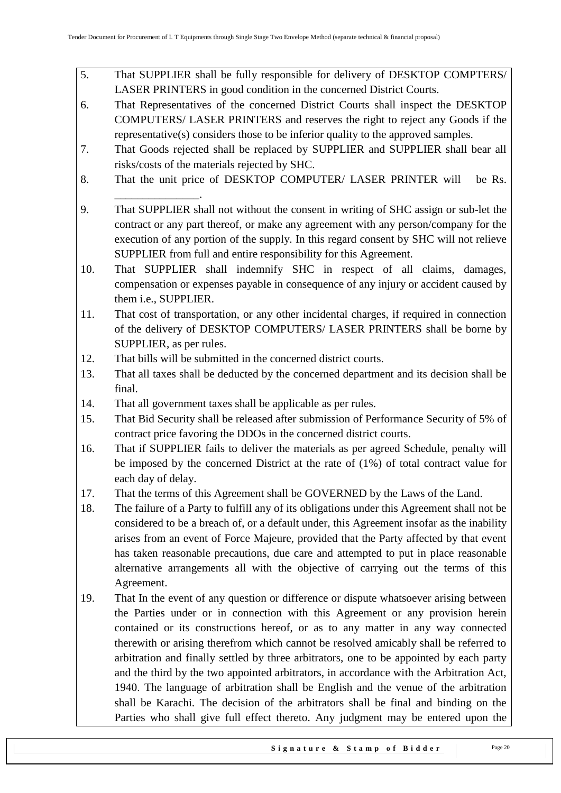- 5. That SUPPLIER shall be fully responsible for delivery of DESKTOP COMPTERS/ LASER PRINTERS in good condition in the concerned District Courts.
- 6. That Representatives of the concerned District Courts shall inspect the DESKTOP COMPUTERS/ LASER PRINTERS and reserves the right to reject any Goods if the representative(s) considers those to be inferior quality to the approved samples.
- 7. That Goods rejected shall be replaced by SUPPLIER and SUPPLIER shall bear all risks/costs of the materials rejected by SHC.
- 8. That the unit price of DESKTOP COMPUTER/ LASER PRINTER will be Rs.
- 9. That SUPPLIER shall not without the consent in writing of SHC assign or sub-let the contract or any part thereof, or make any agreement with any person/company for the execution of any portion of the supply. In this regard consent by SHC will not relieve SUPPLIER from full and entire responsibility for this Agreement.
- 10. That SUPPLIER shall indemnify SHC in respect of all claims, damages, compensation or expenses payable in consequence of any injury or accident caused by them i.e., SUPPLIER.
- 11. That cost of transportation, or any other incidental charges, if required in connection of the delivery of DESKTOP COMPUTERS/ LASER PRINTERS shall be borne by SUPPLIER, as per rules.
- 12. That bills will be submitted in the concerned district courts.

\_\_\_\_\_\_\_\_\_\_\_\_\_\_\_.

- 13. That all taxes shall be deducted by the concerned department and its decision shall be final.
- 14. That all government taxes shall be applicable as per rules.
- 15. That Bid Security shall be released after submission of Performance Security of 5% of contract price favoring the DDOs in the concerned district courts.
- 16. That if SUPPLIER fails to deliver the materials as per agreed Schedule, penalty will be imposed by the concerned District at the rate of (1%) of total contract value for each day of delay.
- 17. That the terms of this Agreement shall be GOVERNED by the Laws of the Land.
- 18. The failure of a Party to fulfill any of its obligations under this Agreement shall not be considered to be a breach of, or a default under, this Agreement insofar as the inability arises from an event of Force Majeure, provided that the Party affected by that event has taken reasonable precautions, due care and attempted to put in place reasonable alternative arrangements all with the objective of carrying out the terms of this Agreement.
- 19. That In the event of any question or difference or dispute whatsoever arising between the Parties under or in connection with this Agreement or any provision herein contained or its constructions hereof, or as to any matter in any way connected therewith or arising therefrom which cannot be resolved amicably shall be referred to arbitration and finally settled by three arbitrators, one to be appointed by each party and the third by the two appointed arbitrators, in accordance with the Arbitration Act, 1940. The language of arbitration shall be English and the venue of the arbitration shall be Karachi. The decision of the arbitrators shall be final and binding on the Parties who shall give full effect thereto. Any judgment may be entered upon the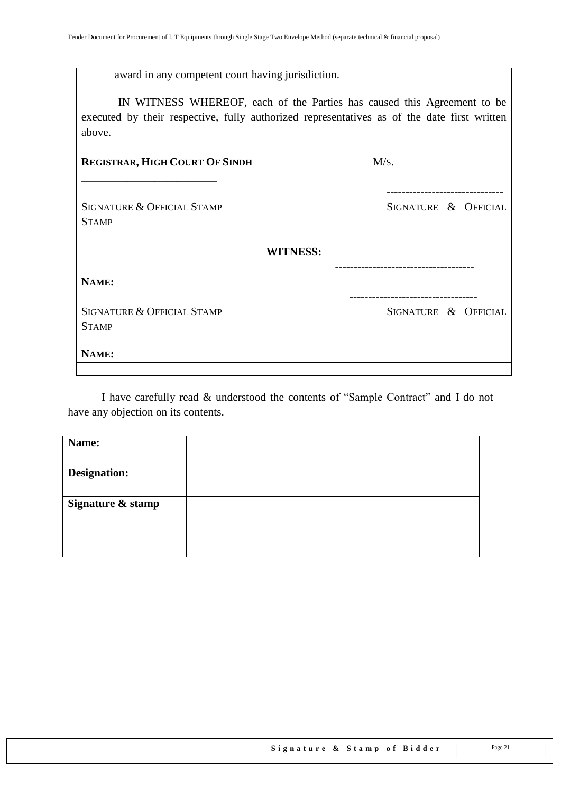| award in any competent court having jurisdiction. |  |
|---------------------------------------------------|--|

 IN WITNESS WHEREOF, each of the Parties has caused this Agreement to be executed by their respective, fully authorized representatives as of the date first written above.

| <b>REGISTRAR, HIGH COURT OF SINDH</b>                 | M/s.                                            |
|-------------------------------------------------------|-------------------------------------------------|
| <b>SIGNATURE &amp; OFFICIAL STAMP</b><br><b>STAMP</b> | -----------------------<br>SIGNATURE & OFFICIAL |
|                                                       | <b>WITNESS:</b>                                 |
| NAME:                                                 |                                                 |
| SIGNATURE & OFFICIAL STAMP<br><b>STAMP</b>            | SIGNATURE & OFFICIAL                            |
| NAME:                                                 |                                                 |
|                                                       |                                                 |

I have carefully read & understood the contents of "Sample Contract" and I do not have any objection on its contents.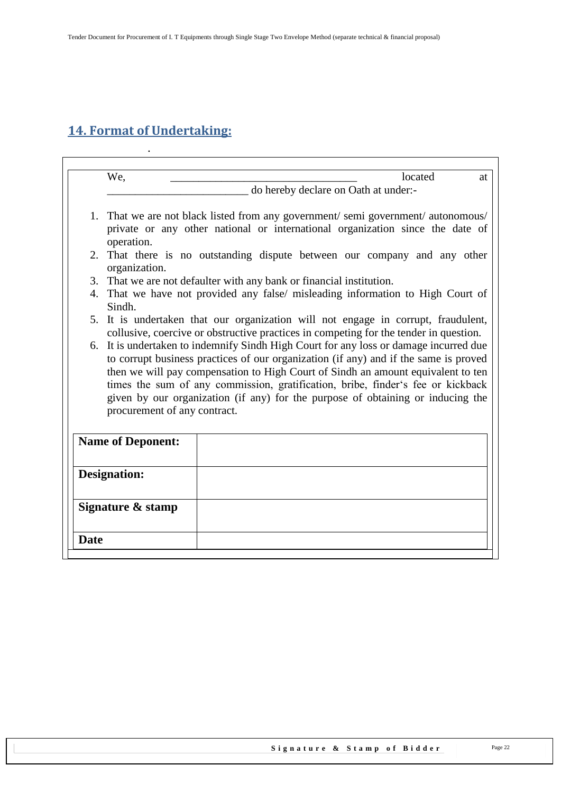# <span id="page-21-0"></span>**14. Format of Undertaking:**

.

 $\overline{\phantom{a}}$ 

|                          | We,                                                                                                                                                                           | located<br>at                                                                     |  |  |
|--------------------------|-------------------------------------------------------------------------------------------------------------------------------------------------------------------------------|-----------------------------------------------------------------------------------|--|--|
|                          |                                                                                                                                                                               | do hereby declare on Oath at under:-                                              |  |  |
|                          |                                                                                                                                                                               |                                                                                   |  |  |
|                          |                                                                                                                                                                               | 1. That we are not black listed from any government/semi government/autonomous/   |  |  |
|                          |                                                                                                                                                                               | private or any other national or international organization since the date of     |  |  |
|                          | operation.                                                                                                                                                                    |                                                                                   |  |  |
|                          | organization.                                                                                                                                                                 | 2. That there is no outstanding dispute between our company and any other         |  |  |
|                          |                                                                                                                                                                               |                                                                                   |  |  |
|                          | 3. That we are not defaulter with any bank or financial institution.<br>4. That we have not provided any false/ misleading information to High Court of                       |                                                                                   |  |  |
|                          | Sindh.                                                                                                                                                                        |                                                                                   |  |  |
|                          |                                                                                                                                                                               | 5. It is undertaken that our organization will not engage in corrupt, fraudulent, |  |  |
|                          | collusive, coercive or obstructive practices in competing for the tender in question.                                                                                         |                                                                                   |  |  |
|                          | 6. It is undertaken to indemnify Sindh High Court for any loss or damage incurred due<br>to corrupt business practices of our organization (if any) and if the same is proved |                                                                                   |  |  |
|                          |                                                                                                                                                                               |                                                                                   |  |  |
|                          | then we will pay compensation to High Court of Sindh an amount equivalent to ten                                                                                              |                                                                                   |  |  |
|                          | times the sum of any commission, gratification, bribe, finder's fee or kickback                                                                                               |                                                                                   |  |  |
|                          | given by our organization (if any) for the purpose of obtaining or inducing the                                                                                               |                                                                                   |  |  |
|                          | procurement of any contract.                                                                                                                                                  |                                                                                   |  |  |
|                          |                                                                                                                                                                               |                                                                                   |  |  |
| <b>Name of Deponent:</b> |                                                                                                                                                                               |                                                                                   |  |  |
|                          |                                                                                                                                                                               |                                                                                   |  |  |
|                          | <b>Designation:</b>                                                                                                                                                           |                                                                                   |  |  |
|                          |                                                                                                                                                                               |                                                                                   |  |  |
|                          |                                                                                                                                                                               |                                                                                   |  |  |
|                          | Signature & stamp                                                                                                                                                             |                                                                                   |  |  |
|                          |                                                                                                                                                                               |                                                                                   |  |  |
| <b>Date</b>              |                                                                                                                                                                               |                                                                                   |  |  |
|                          |                                                                                                                                                                               |                                                                                   |  |  |